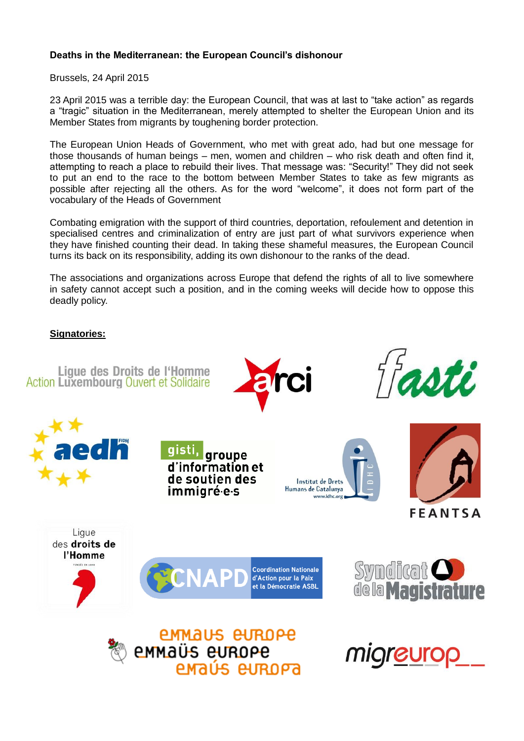## **Deaths in the Mediterranean: the European Council's dishonour**

Brussels, 24 April 2015

23 April 2015 was a terrible day: the European Council, that was at last to "take action" as regards a "tragic" situation in the Mediterranean, merely attempted to shelter the European Union and its Member States from migrants by toughening border protection.

The European Union Heads of Government, who met with great ado, had but one message for those thousands of human beings – men, women and children – who risk death and often find it, attempting to reach a place to rebuild their lives. That message was: "Security!" They did not seek to put an end to the race to the bottom between Member States to take as few migrants as possible after rejecting all the others. As for the word "welcome", it does not form part of the vocabulary of the Heads of Government

Combating emigration with the support of third countries, deportation, refoulement and detention in specialised centres and criminalization of entry are just part of what survivors experience when they have finished counting their dead. In taking these shameful measures, the European Council turns its back on its responsibility, adding its own dishonour to the ranks of the dead.

The associations and organizations across Europe that defend the rights of all to live somewhere in safety cannot accept such a position, and in the coming weeks will decide how to oppose this deadly policy.

## **Signatories:**

Lique des Droits de l'Homme **Action Luxembourg Ouvert et Solidaire** 



groupe d'information et de soutien des immigré<sub>'</sub>e-s











**Coordination Nationale** d'Action pour la Paix et la Démocratie ASBL





*EMMAUS EUROPE* emmaüs europe enaús europa

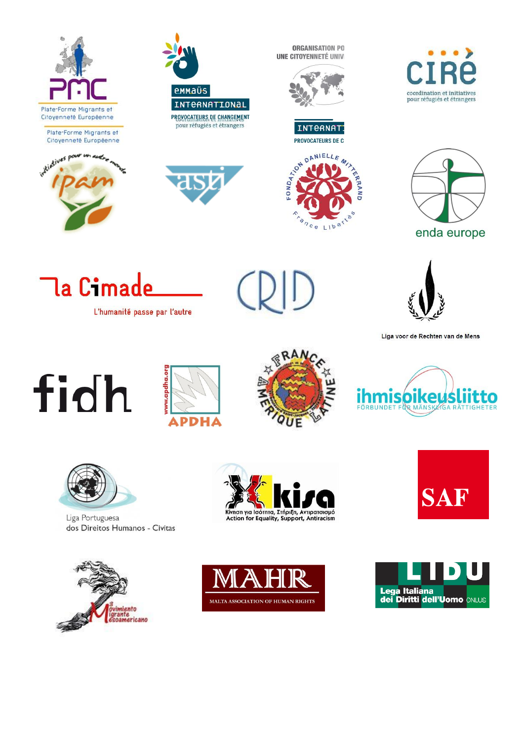

Plate-Forme Migrants et Citoyenneté Européenne





**ORGANISATION PO** UNE CITOYENNETÉ UNIVI



**INTERNATI** 









L'humanité passe par l'autre



Liga voor de Rechten van de Mens

## fidh









Liga Portuguesa dos Direitos Humanos - Civitas





Κίνηση για Ισότητα, Στήριξη, Αντιρατσισμό<br>Action for Equality, Support, Antiracism



**SAF**